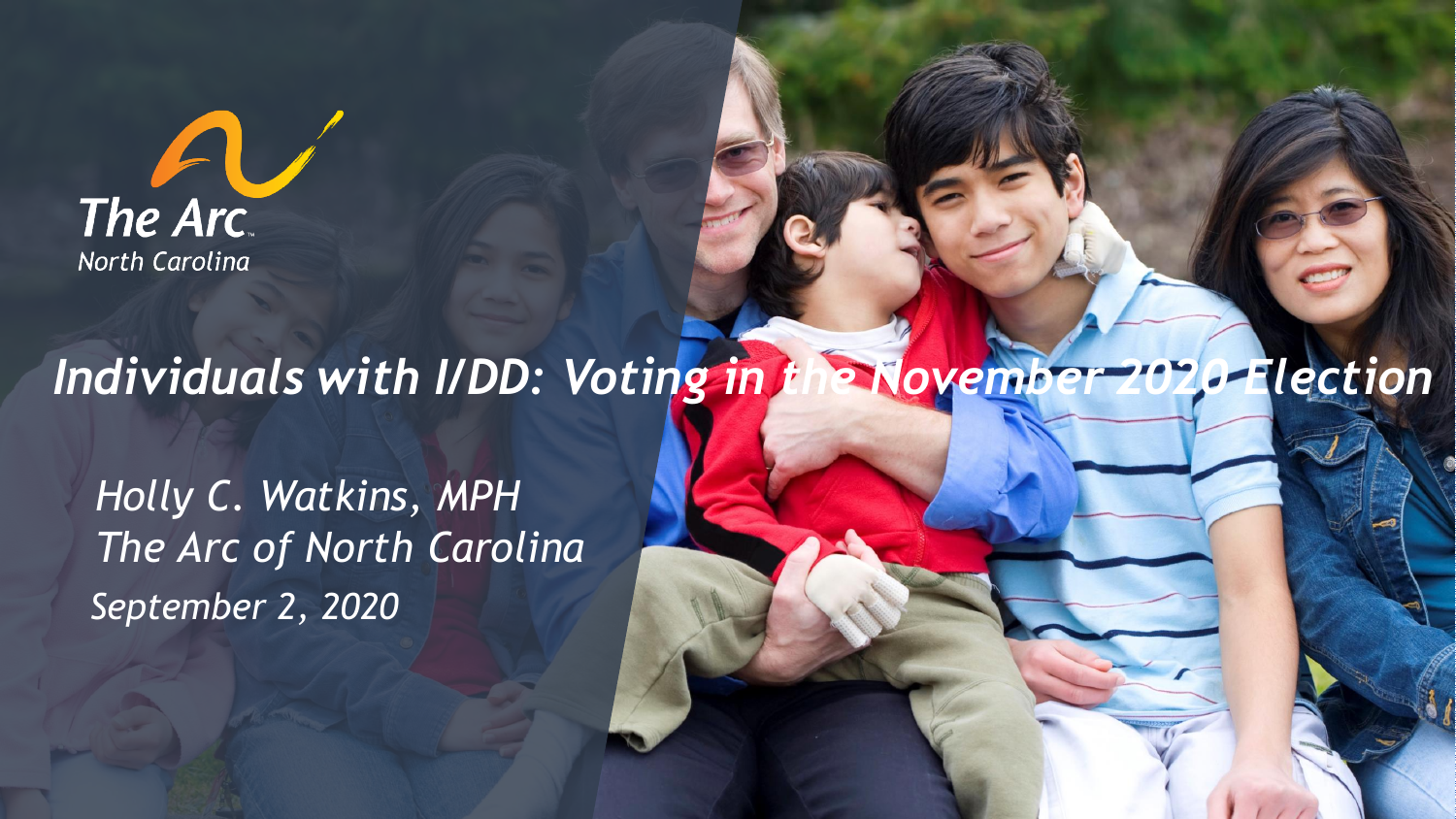

#### *Individuals with I/DD: Voting in the November 2020 Election*

*September 2, 2020 Holly C. Watkins, MPH The Arc of North Carolina*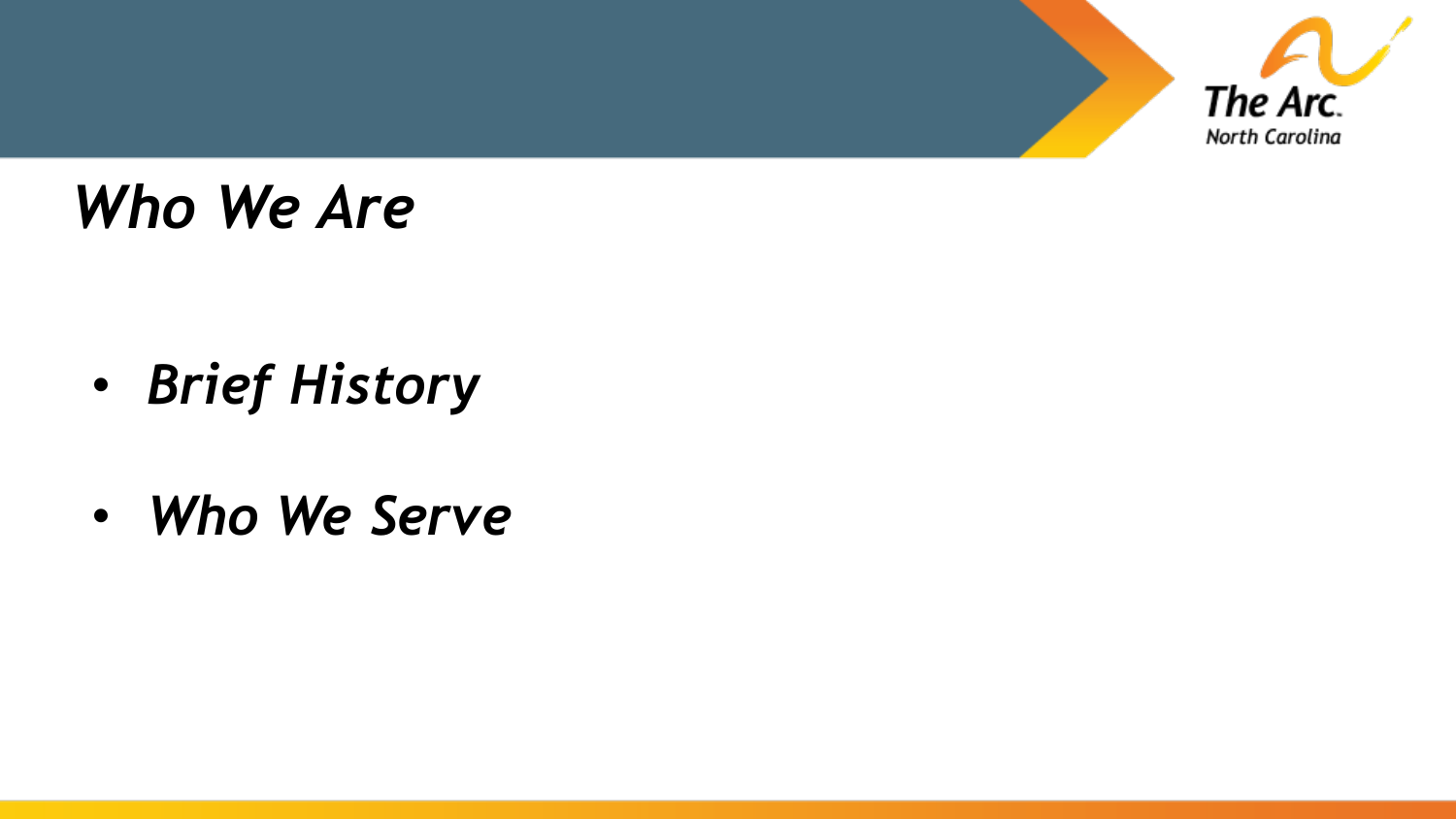

### *Who We Are*

- *Brief History*
- *Who We Serve*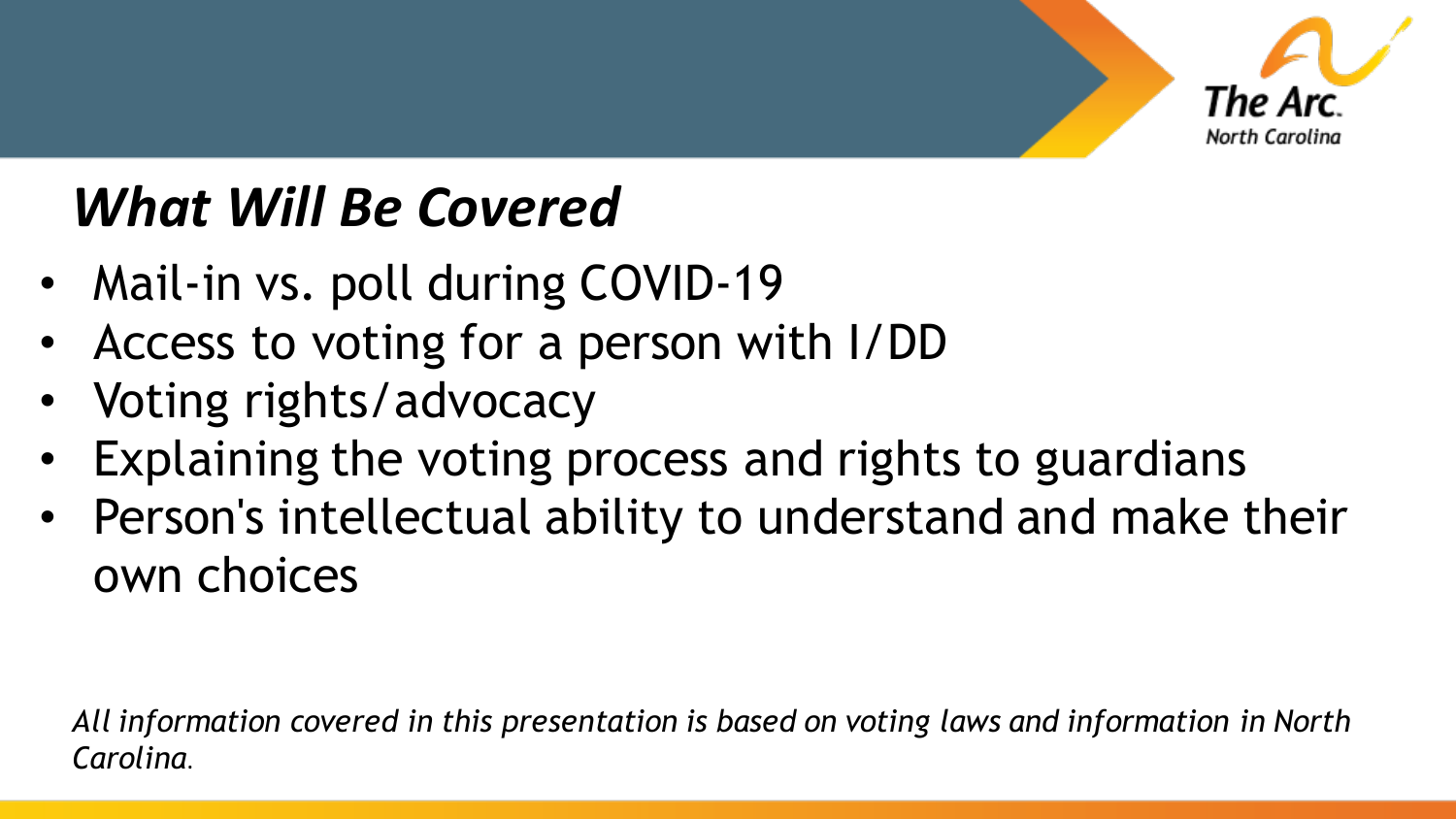

### *What Will Be Covered*

- Mail-in vs. poll during COVID-19
- Access to voting for a person with I/DD
- Voting rights/advocacy
- Explaining the voting process and rights to guardians
- Person's intellectual ability to understand and make their own choices

*All information covered in this presentation is based on voting laws and information in North Carolina*.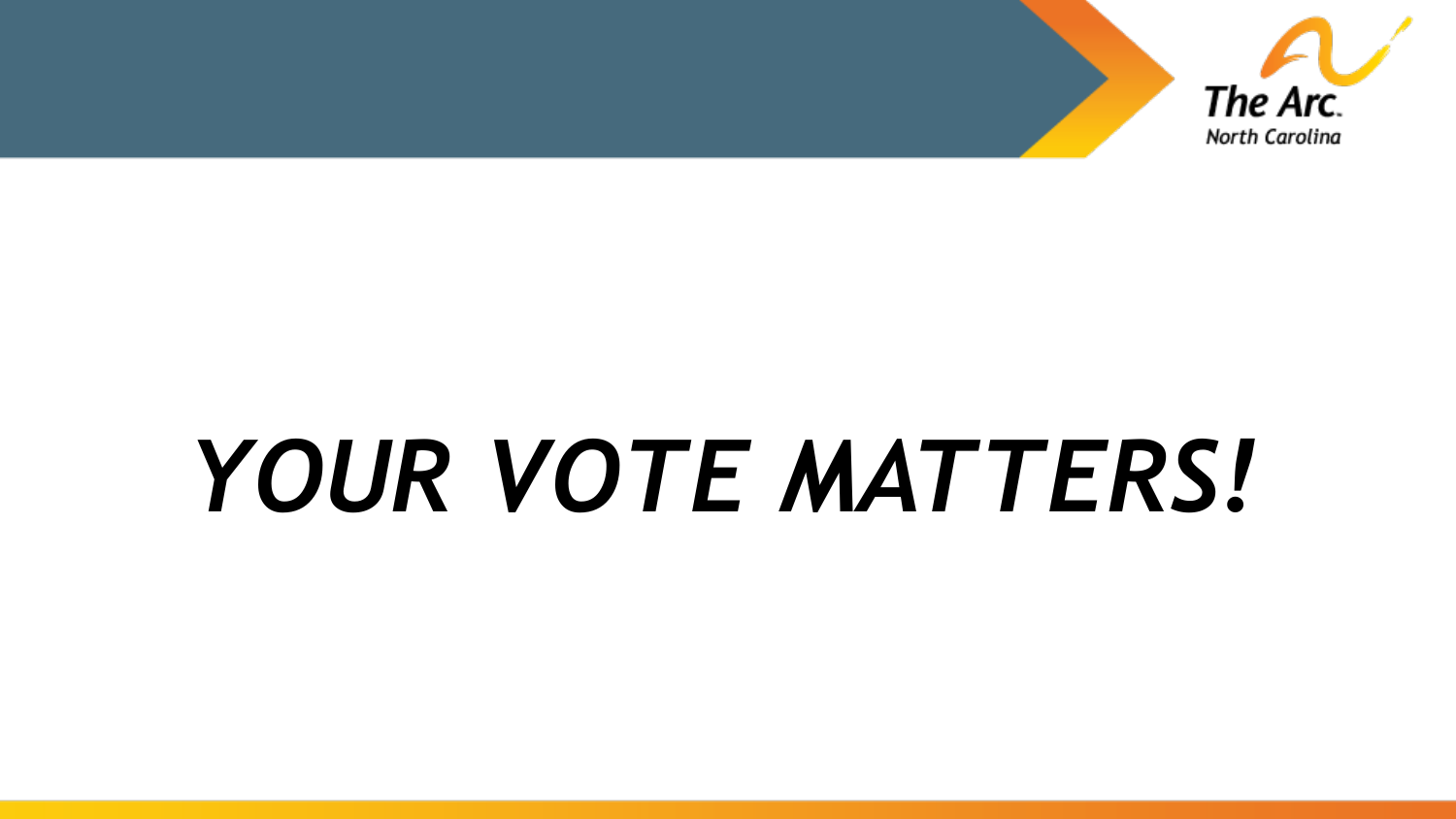

# *YOUR VOTE MATTERS!*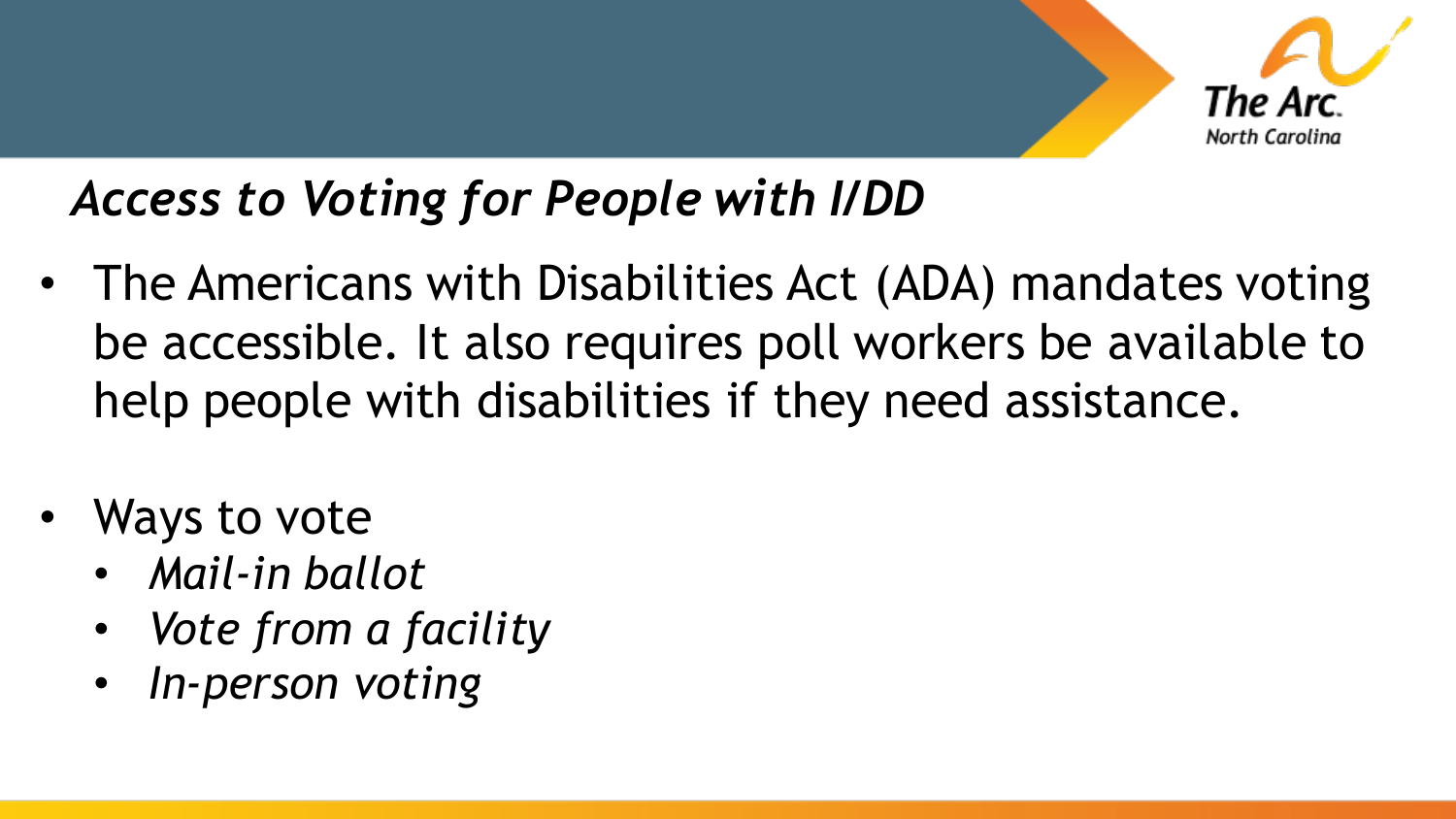

#### *Access to Voting for People with I/DD*

- The Americans with Disabilities Act (ADA) mandates voting be accessible. It also requires poll workers be available to help people with disabilities if they need assistance.
- Ways to vote
	- *Mail-in ballot*
	- *Vote from a facility*
	- *In-person voting*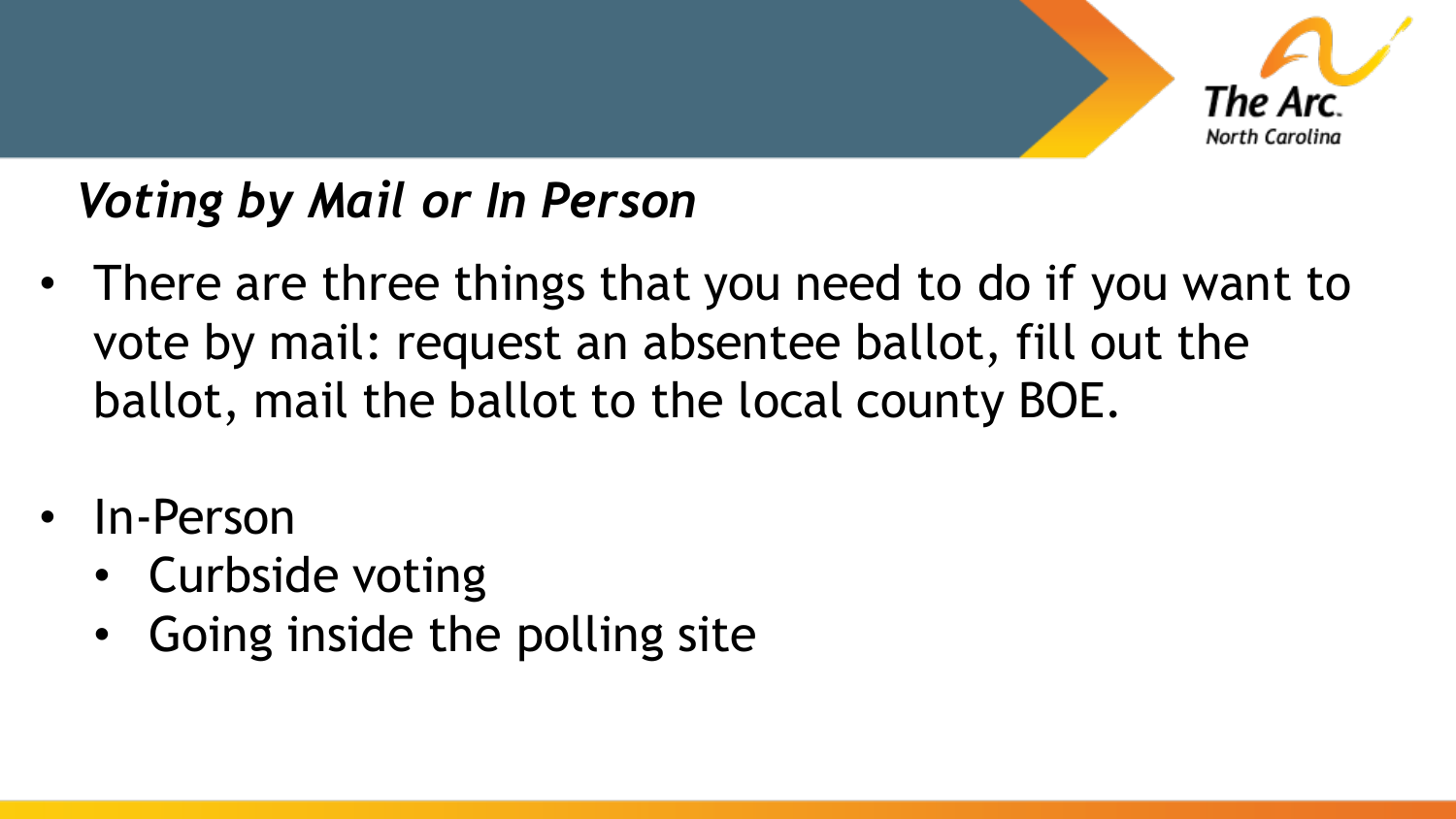

#### *Voting by Mail or In Person*

- There are three things that you need to do if you want to vote by mail: request an absentee ballot, fill out the ballot, mail the ballot to the local county BOE.
- In-Person
	- Curbside voting
	- Going inside the polling site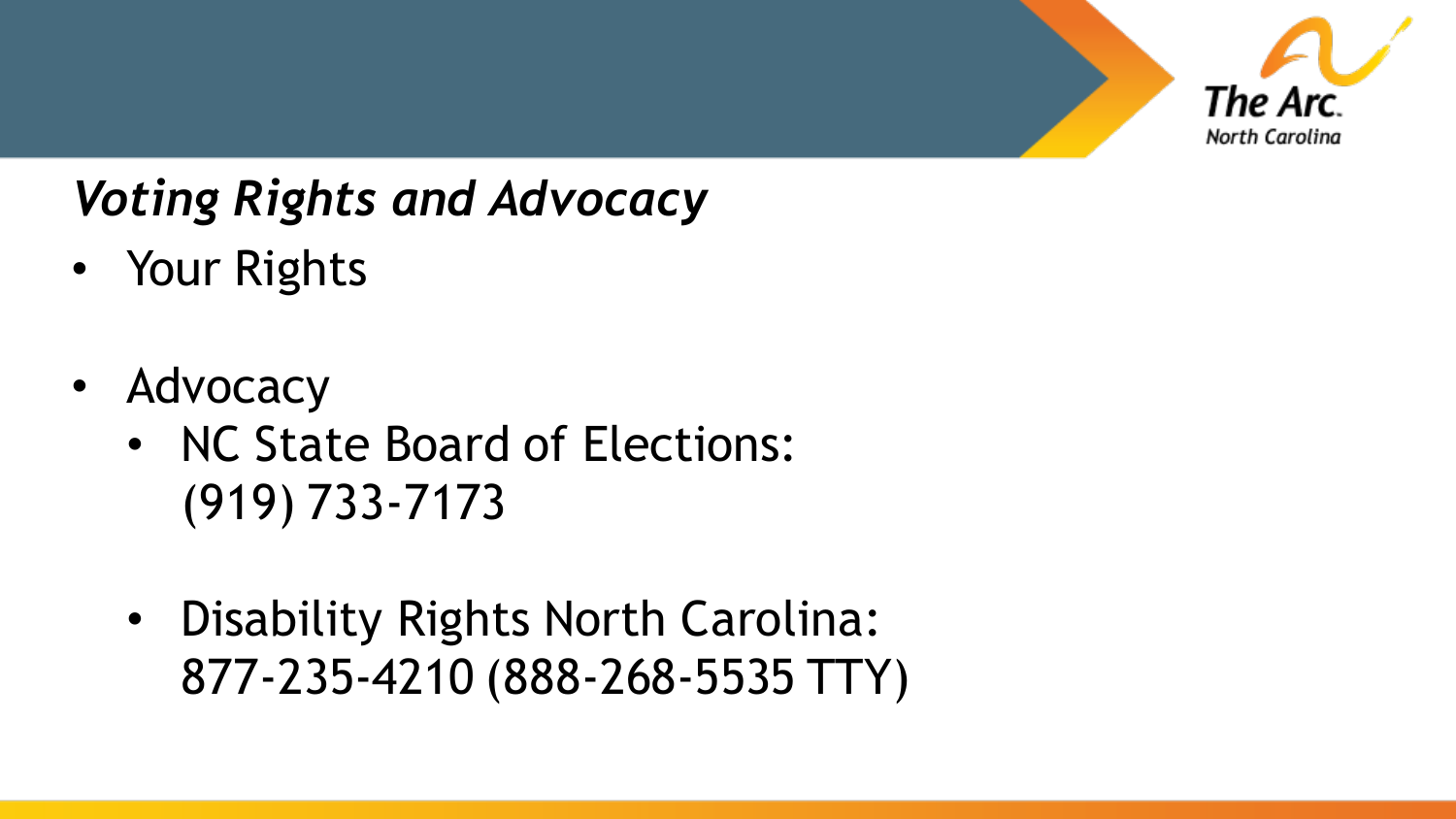

#### *Voting Rights and Advocacy*

- Your Rights
- Advocacy
	- NC State Board of Elections: (919) 733-7173
	- Disability Rights North Carolina: 877-235-4210 (888-268-5535 TTY)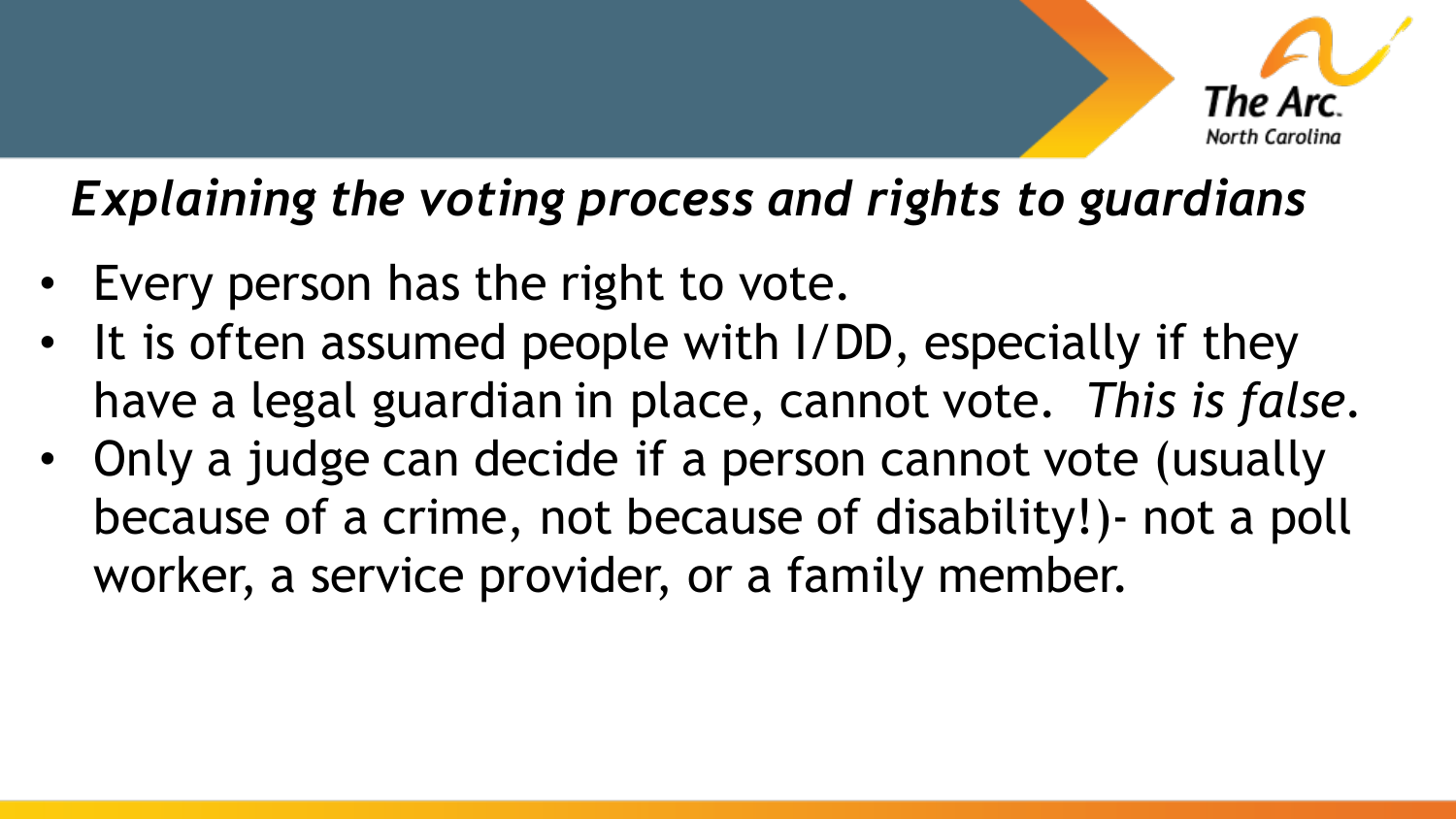

#### *Explaining the voting process and rights to guardians*

- Every person has the right to vote.
- It is often assumed people with I/DD, especially if they have a legal guardian in place, cannot vote. *This is false.*
- Only a judge can decide if a person cannot vote (usually because of a crime, not because of disability!)- not a poll worker, a service provider, or a family member.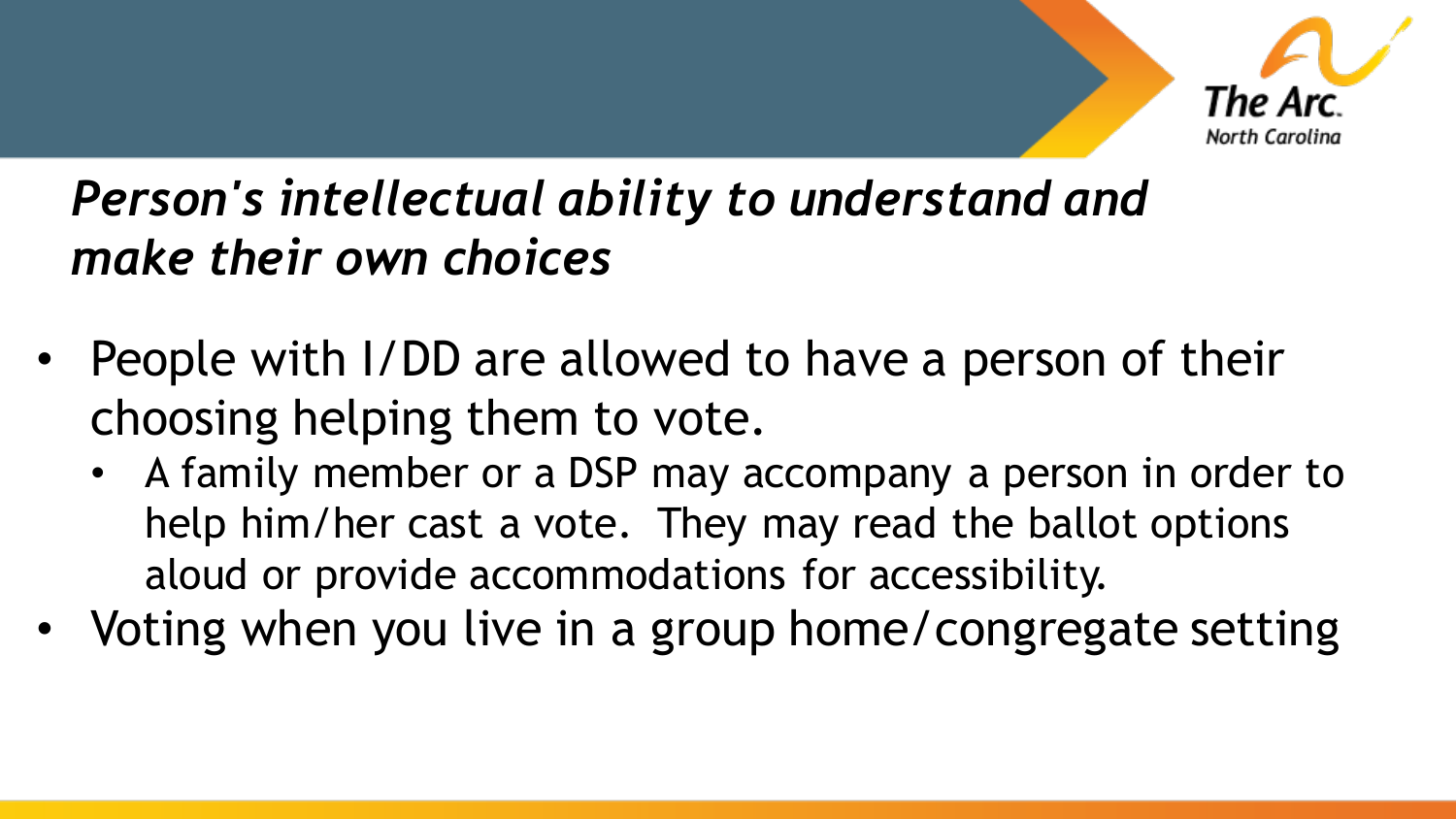

#### *Person's intellectual ability to understand and make their own choices*

- People with I/DD are allowed to have a person of their choosing helping them to vote.
	- A family member or a DSP may accompany a person in order to help him/her cast a vote. They may read the ballot options aloud or provide accommodations for accessibility.
- Voting when you live in a group home/congregate setting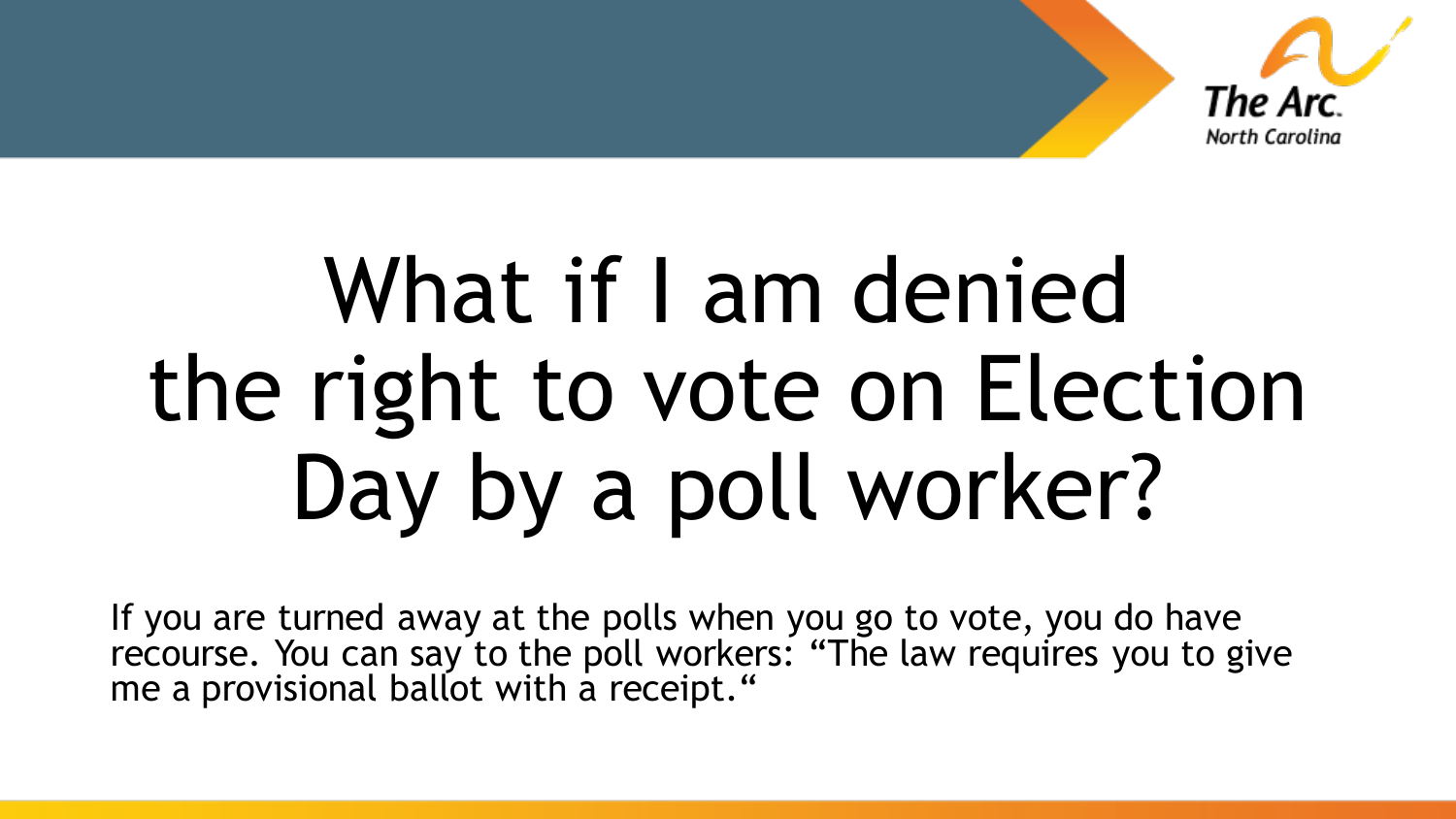

# What if I am denied the right to vote on Election Day by a poll worker?

If you are turned away at the polls when you go to vote, you do have recourse. You can say to the poll workers: "The law requires you to give me a provisional ballot with a receipt."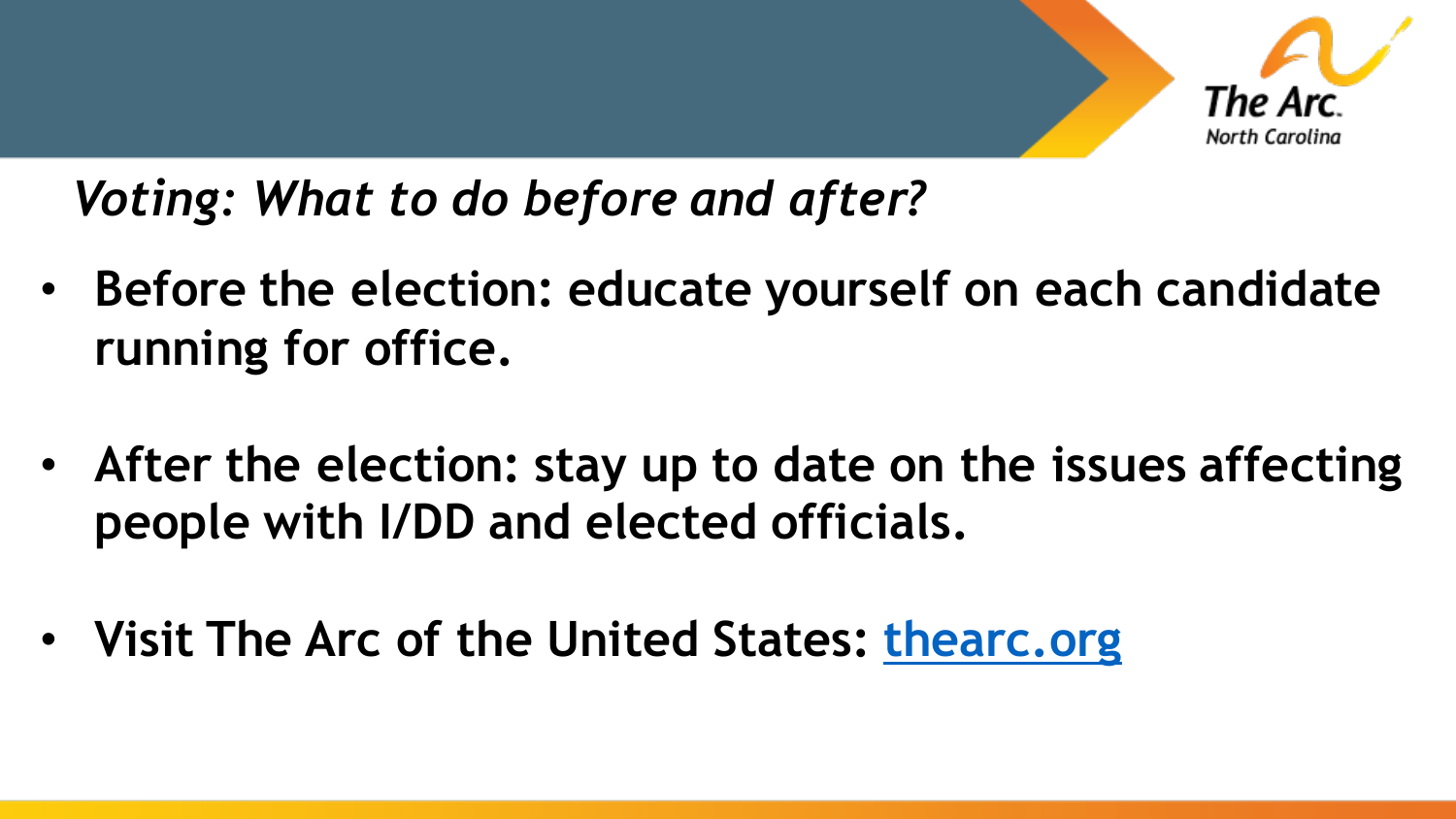

*Voting: What to do before and after?* 

- **Before the election: educate yourself on each candidate running for office.**
- **After the election: stay up to date on the issues affecting people with I/DD and elected officials.**
- **Visit The Arc of the United States: [thearc.org](https://thearc.org/)**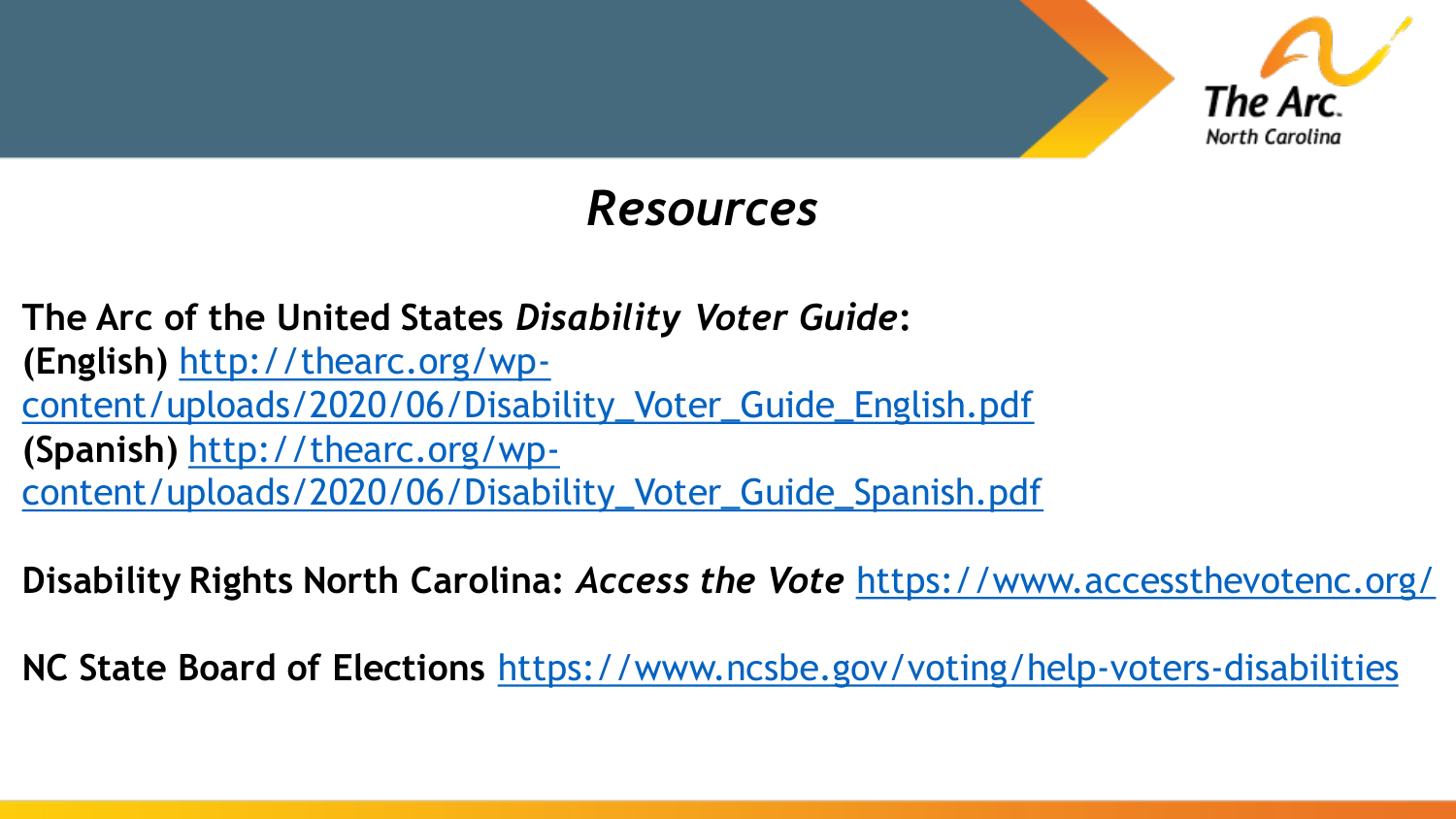

#### *Resources*

**The Arc of the United States** *Disability Voter Guide***: (English)** http://thearc.org/wp[content/uploads/2020/06/Disability\\_Voter\\_Guide\\_English.pdf](http://thearc.org/wp-content/uploads/2020/06/Disability_Voter_Guide_English.pdf) **(Spanish)** http://thearc.org/wp[content/uploads/2020/06/Disability\\_Voter\\_Guide\\_Spanish.pdf](http://thearc.org/wp-content/uploads/2020/06/Disability_Voter_Guide_Spanish.pdf)

**Disability Rights North Carolina:** *Access the Vote* <https://www.accessthevotenc.org/>

**NC State Board of Elections** <https://www.ncsbe.gov/voting/help-voters-disabilities>